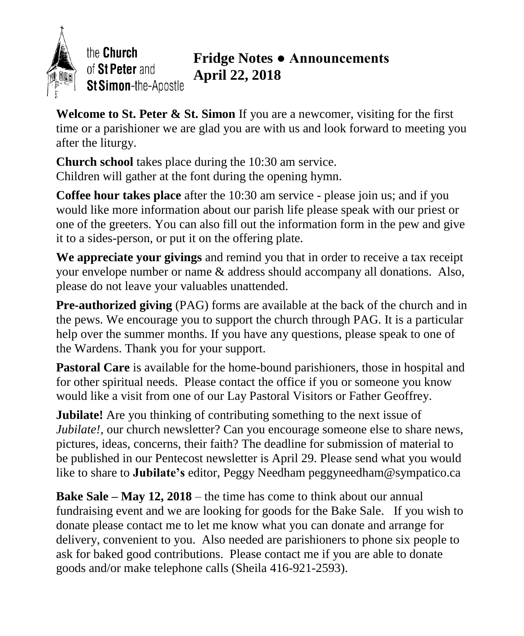

the Church of St Peter and St Simon-the-Apostle

## **Fridge Notes ● Announcements April 22, 2018**

**Welcome to St. Peter & St. Simon** If you are a newcomer, visiting for the first time or a parishioner we are glad you are with us and look forward to meeting you after the liturgy.

**Church school** takes place during the 10:30 am service. Children will gather at the font during the opening hymn.

**Coffee hour takes place** after the 10:30 am service - please join us; and if you would like more information about our parish life please speak with our priest or one of the greeters. You can also fill out the information form in the pew and give it to a sides-person, or put it on the offering plate.

**We appreciate your givings** and remind you that in order to receive a tax receipt your envelope number or name & address should accompany all donations. Also, please do not leave your valuables unattended.

**Pre-authorized giving** (PAG) forms are available at the back of the church and in the pews. We encourage you to support the church through PAG. It is a particular help over the summer months. If you have any questions, please speak to one of the Wardens. Thank you for your support.

**Pastoral Care** is available for the home-bound parishioners, those in hospital and for other spiritual needs. Please contact the office if you or someone you know would like a visit from one of our Lay Pastoral Visitors or Father Geoffrey.

**Jubilate!** Are you thinking of contributing something to the next issue of *Jubilate!*, our church newsletter? Can you encourage someone else to share news, pictures, ideas, concerns, their faith? The deadline for submission of material to be published in our Pentecost newsletter is April 29. Please send what you would like to share to **Jubilate's** editor, Peggy Needham peggyneedham@sympatico.ca

**Bake Sale – May 12, 2018** – the time has come to think about our annual fundraising event and we are looking for goods for the Bake Sale. If you wish to donate please contact me to let me know what you can donate and arrange for delivery, convenient to you. Also needed are parishioners to phone six people to ask for baked good contributions. Please contact me if you are able to donate goods and/or make telephone calls (Sheila 416-921-2593).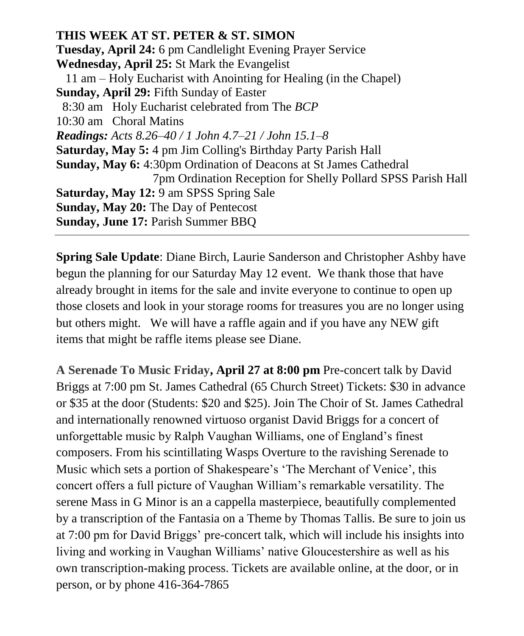**THIS WEEK AT ST. PETER & ST. SIMON Tuesday, April 24:** 6 pm Candlelight Evening Prayer Service **Wednesday, April 25:** St Mark the Evangelist 11 am – Holy Eucharist with Anointing for Healing (in the Chapel) **Sunday, April 29:** Fifth Sunday of Easter 8:30 am Holy Eucharist celebrated from The *BCP* 10:30 am Choral Matins *Readings: Acts 8.26–40 / 1 John 4.7–21 / John 15.1–8* **Saturday, May 5:** 4 pm Jim Colling's Birthday Party Parish Hall **Sunday, May 6:** 4:30pm Ordination of Deacons at St James Cathedral 7pm Ordination Reception for Shelly Pollard SPSS Parish Hall **Saturday, May 12:** 9 am SPSS Spring Sale **Sunday, May 20:** The Day of Pentecost **Sunday, June 17:** Parish Summer BBQ

**Spring Sale Update**: Diane Birch, Laurie Sanderson and Christopher Ashby have begun the planning for our Saturday May 12 event. We thank those that have already brought in items for the sale and invite everyone to continue to open up those closets and look in your storage rooms for treasures you are no longer using but others might. We will have a raffle again and if you have any NEW gift items that might be raffle items please see Diane.

**A Serenade To Music Friday, April 27 at 8:00 pm** Pre-concert talk by David Briggs at 7:00 pm St. James Cathedral (65 Church Street) Tickets: \$30 in advance or \$35 at the door (Students: \$20 and \$25). Join The Choir of St. James Cathedral and internationally renowned virtuoso organist David Briggs for a concert of unforgettable music by Ralph Vaughan Williams, one of England's finest composers. From his scintillating Wasps Overture to the ravishing Serenade to Music which sets a portion of Shakespeare's 'The Merchant of Venice', this concert offers a full picture of Vaughan William's remarkable versatility. The serene Mass in G Minor is an a cappella masterpiece, beautifully complemented by a transcription of the Fantasia on a Theme by Thomas Tallis. Be sure to join us at 7:00 pm for David Briggs' pre-concert talk, which will include his insights into living and working in Vaughan Williams' native Gloucestershire as well as his own transcription-making process. Tickets are available online, at the door, or in person, or by phone 416-364-7865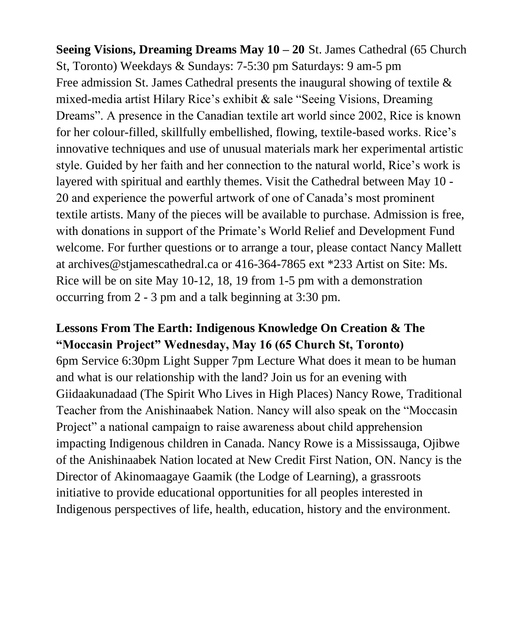**Seeing Visions, Dreaming Dreams May 10 – 20** St. James Cathedral (65 Church St, Toronto) Weekdays & Sundays: 7-5:30 pm Saturdays: 9 am-5 pm Free admission St. James Cathedral presents the inaugural showing of textile & mixed-media artist Hilary Rice's exhibit & sale "Seeing Visions, Dreaming Dreams". A presence in the Canadian textile art world since 2002, Rice is known for her colour-filled, skillfully embellished, flowing, textile-based works. Rice's innovative techniques and use of unusual materials mark her experimental artistic style. Guided by her faith and her connection to the natural world, Rice's work is layered with spiritual and earthly themes. Visit the Cathedral between May 10 - 20 and experience the powerful artwork of one of Canada's most prominent textile artists. Many of the pieces will be available to purchase. Admission is free, with donations in support of the Primate's World Relief and Development Fund welcome. For further questions or to arrange a tour, please contact Nancy Mallett at archives@stjamescathedral.ca or 416-364-7865 ext \*233 Artist on Site: Ms. Rice will be on site May 10-12, 18, 19 from 1-5 pm with a demonstration occurring from 2 - 3 pm and a talk beginning at 3:30 pm.

## **Lessons From The Earth: Indigenous Knowledge On Creation & The "Moccasin Project" Wednesday, May 16 (65 Church St, Toronto)**

6pm Service 6:30pm Light Supper 7pm Lecture What does it mean to be human and what is our relationship with the land? Join us for an evening with Giidaakunadaad (The Spirit Who Lives in High Places) Nancy Rowe, Traditional Teacher from the Anishinaabek Nation. Nancy will also speak on the "Moccasin Project" a national campaign to raise awareness about child apprehension impacting Indigenous children in Canada. Nancy Rowe is a Mississauga, Ojibwe of the Anishinaabek Nation located at New Credit First Nation, ON. Nancy is the Director of Akinomaagaye Gaamik (the Lodge of Learning), a grassroots initiative to provide educational opportunities for all peoples interested in Indigenous perspectives of life, health, education, history and the environment.